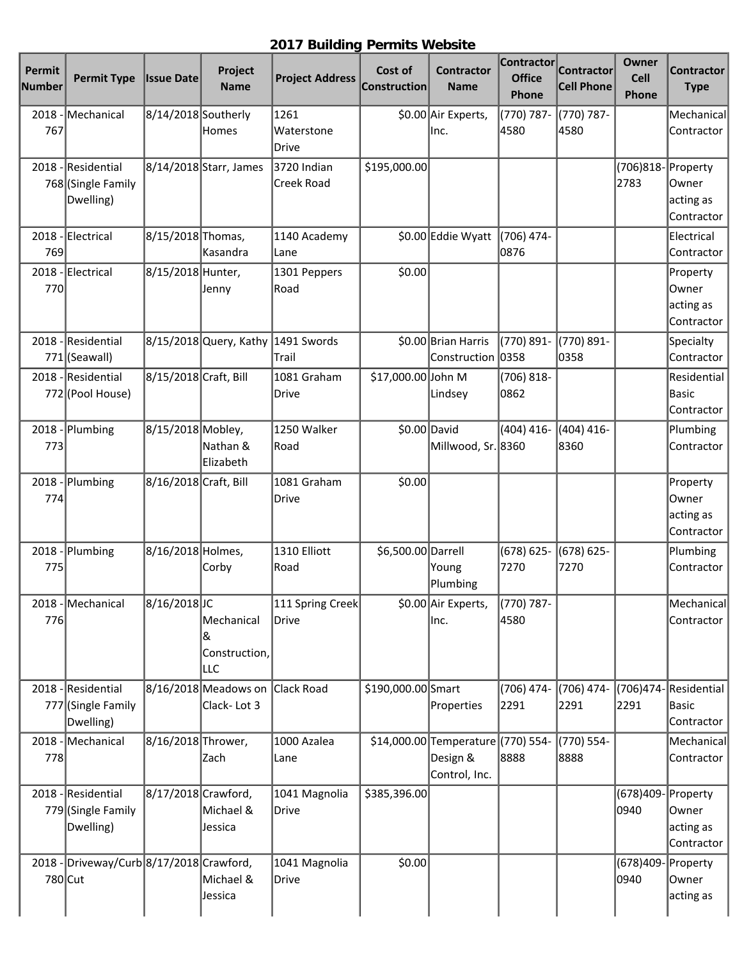## **2017 Building Permits Website**

| Permit<br>Number | <b>Permit Type</b>                                    | <b>Issue Date</b>     | Project<br><b>Name</b>                         | <b>Project Address</b>      | Cost of<br><b>Construction</b> | <b>Contractor</b><br><b>Name</b>                                | <b>Contractor</b><br><b>Office</b><br>Phone | <b>Contractor</b><br><b>Cell Phone</b> | Owner<br><b>Cell</b><br>Phone | <b>Contractor</b><br><b>Type</b>             |
|------------------|-------------------------------------------------------|-----------------------|------------------------------------------------|-----------------------------|--------------------------------|-----------------------------------------------------------------|---------------------------------------------|----------------------------------------|-------------------------------|----------------------------------------------|
| $2018 -$<br>767  | Mechanical                                            | 8/14/2018 Southerly   | Homes                                          | 1261<br>Waterstone<br>Drive |                                | \$0.00 Air Experts,<br>Inc.                                     | (770) 787-<br>4580                          | (770) 787-<br>4580                     |                               | Mechanical<br>Contractor                     |
|                  | 2018 - Residential<br>768 (Single Family<br>Dwelling) |                       | 8/14/2018 Starr, James                         | 3720 Indian<br>Creek Road   | \$195,000.00                   |                                                                 |                                             |                                        | (706)818-Property<br>2783     | Owner<br>acting as<br>Contractor             |
| $2018 -$<br>769  | Electrical                                            | 8/15/2018 Thomas,     | Kasandra                                       | 1140 Academy<br>Lane        |                                | \$0.00 Eddie Wyatt                                              | (706) 474-<br>0876                          |                                        |                               | Electrical<br>Contractor                     |
| 770              | 2018 - Electrical                                     | 8/15/2018 Hunter,     | Jenny                                          | 1301 Peppers<br>Road        | \$0.00                         |                                                                 |                                             |                                        |                               | Property<br>Owner<br>acting as<br>Contractor |
|                  | 2018 - Residential<br>771 (Seawall)                   |                       | 8/15/2018 Query, Kathy                         | 1491 Swords<br>Trail        |                                | \$0.00 Brian Harris<br>Construction                             | (770) 891-<br> 0358                         | (770) 891-<br>0358                     |                               | Specialty<br>Contractor                      |
|                  | 2018 - Residential<br>772 (Pool House)                | 8/15/2018 Craft, Bill |                                                | 1081 Graham<br>Drive        | \$17,000.00 John M             | Lindsey                                                         | $(706) 818 -$<br>0862                       |                                        |                               | Residential<br><b>Basic</b><br>Contractor    |
| 773              | 2018 - Plumbing                                       | 8/15/2018 Mobley,     | Nathan &<br>Elizabeth                          | 1250 Walker<br>Road         |                                | \$0.00 David<br>Millwood, Sr. 8360                              | $(404)$ 416-                                | (404) 416-<br>8360                     |                               | Plumbing<br>Contractor                       |
| 2018<br>774      | Plumbing                                              | 8/16/2018 Craft, Bill |                                                | 1081 Graham<br>Drive        | \$0.00                         |                                                                 |                                             |                                        |                               | Property<br>Owner<br>acting as<br>Contractor |
| 2018<br>775      | Plumbing                                              | 8/16/2018 Holmes,     | Corby                                          | 1310 Elliott<br>Road        | \$6,500.00 Darrell             | Young<br>Plumbing                                               | $(678) 625 -$<br>7270                       | (678) 625-<br>7270                     |                               | Plumbing<br>Contractor                       |
| 776              | 2018 - Mechanical                                     | 8/16/2018JC           | Mechanical<br>&<br>Construction,<br><b>LLC</b> | 111 Spring Creek<br>Drive   |                                | \$0.00 Air Experts,<br>Inc.                                     | (770) 787-<br>4580                          |                                        |                               | Mechanical<br>Contractor                     |
| $2018 -$         | Residential<br>777 (Single Family<br>Dwelling)        |                       | 8/16/2018 Meadows on<br>Clack-Lot 3            | Clack Road                  | \$190,000.00 Smart             | Properties                                                      | (706) 474-<br>2291                          | (706) 474-<br>2291                     | (706)474-<br>2291             | Residential<br>Basic<br>Contractor           |
| 778              | 2018 - Mechanical                                     | 8/16/2018 Thrower,    | Zach                                           | 1000 Azalea<br>Lane         |                                | \$14,000.00 Temperature (770) 554-<br>Design &<br>Control, Inc. | 8888                                        | (770) 554-<br>8888                     |                               | Mechanical<br>Contractor                     |
|                  | 2018 - Residential<br>779 (Single Family<br>Dwelling) | 8/17/2018 Crawford,   | Michael &<br>Jessica                           | 1041 Magnolia<br>Drive      | \$385,396.00                   |                                                                 |                                             |                                        | (678)409-Property<br>0940     | Owner<br>acting as<br>Contractor             |
| 2018<br>780 Cut  | Driveway/Curb 8/17/2018 Crawford,                     |                       | Michael &<br>Jessica                           | 1041 Magnolia<br>Drive      | \$0.00                         |                                                                 |                                             |                                        | (678)409<br>0940              | Property<br>Owner<br>acting as               |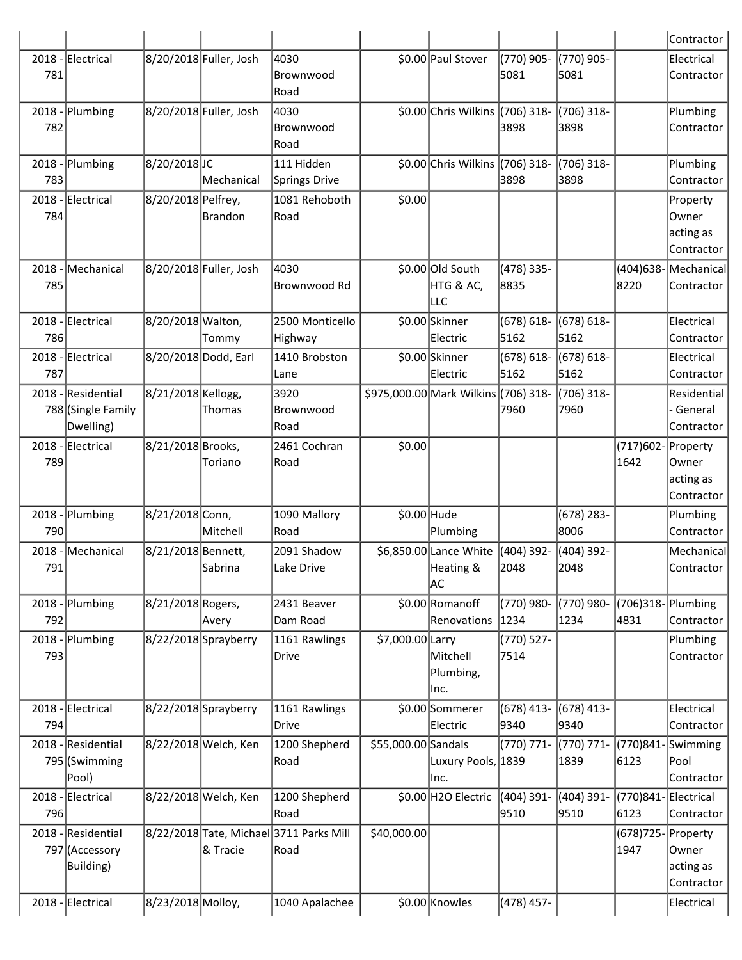|     |                                                       |                      |                        |                                                 |                     |                                           |                       |                      |                             | Contractor                                    |
|-----|-------------------------------------------------------|----------------------|------------------------|-------------------------------------------------|---------------------|-------------------------------------------|-----------------------|----------------------|-----------------------------|-----------------------------------------------|
| 781 | 2018 - Electrical                                     |                      | 8/20/2018 Fuller, Josh | 4030<br>lBrownwood<br>Road                      |                     | \$0.00 Paul Stover                        | (770) 905-<br>5081    | (770) 905-<br>5081   |                             | Electrical<br>Contractor                      |
| 782 | 2018 - Plumbing                                       |                      | 8/20/2018 Fuller, Josh | 4030<br>Brownwood<br>Road                       |                     | \$0.00 Chris Wilkins (706) 318-           | 3898                  | (706) 318-<br>3898   |                             | Plumbing<br>Contractor                        |
| 783 | 2018 - Plumbing                                       | 8/20/2018JC          | <b>Mechanical</b>      | 111 Hidden<br>Springs Drive                     |                     | \$0.00 Chris Wilkins (706) 318-           | 3898                  | (706) 318-<br>3898   |                             | Plumbing<br>Contractor                        |
| 784 | 2018 - Electrical                                     | 8/20/2018 Pelfrey,   | Brandon                | 1081 Rehoboth<br>Road                           | \$0.00              |                                           |                       |                      |                             | Property<br>lOwner<br>acting as<br>Contractor |
| 785 | 2018 - Mechanical                                     |                      | 8/20/2018 Fuller, Josh | 4030<br>lBrownwood Rd                           |                     | \$0.00 Old South<br>HTG & AC,<br>llc      | (478) 335-<br>8835    |                      | (404)638-Mechanical<br>8220 | Contractor                                    |
| 786 | 2018 - Electrical                                     | 8/20/2018 Walton,    | Tommy                  | 2500 Monticello<br>Highway                      |                     | \$0.00 Skinner<br>Electric                | $(678) 618 -$<br>5162 | (678) 618-<br>5162   |                             | Electrical<br>Contractor                      |
| 787 | 2018 - Electrical                                     | 8/20/2018 Dodd, Earl |                        | 1410 Brobston<br>Lane                           |                     | \$0.00 Skinner<br>Electric                | $(678) 618 -$<br>5162 | (678) 618-<br>5162   |                             | Electrical<br>Contractor                      |
|     | 2018 - Residential<br>788 (Single Family<br>Dwelling) | 8/21/2018 Kellogg,   | Thomas                 | 3920<br>Brownwood<br>Road                       |                     | \$975,000.00 Mark Wilkins (706) 318-      | 7960                  | (706) 318-<br>7960   |                             | Residential<br>General<br>Contractor          |
| 789 | 2018 - Electrical                                     | 8/21/2018 Brooks,    | Toriano                | 2461 Cochran<br>Road                            | \$0.00              |                                           |                       |                      | (717)602-Property<br>1642   | Owner<br>acting as<br>Contractor              |
| 790 | 2018 - Plumbing                                       | 8/21/2018 Conn,      | Mitchell               | 1090 Mallory<br>Road                            | \$0.00 Hude         | Plumbing                                  |                       | $(678)$ 283-<br>8006 |                             | Plumbing<br>Contractor                        |
| 791 | 2018 - Mechanical                                     | 8/21/2018 Bennett,   | Sabrina                | 2091 Shadow<br>Lake Drive                       |                     | \$6,850.00 Lance White<br>Heating &<br>AC | $(404)$ 392-<br>2048  | (404) 392-<br>2048   |                             | Mechanical<br>Contractor                      |
| 792 | 2018 - Plumbing                                       | 8/21/2018 Rogers,    | Avery                  | 2431 Beaver<br>Dam Road                         |                     | \$0.00 Romanoff<br>Renovations            | (770) 980-<br> 1234   | (770) 980-<br>1234   | (706)318-Plumbing<br>4831   | Contractor                                    |
| 793 | 2018 - Plumbing                                       |                      | 8/22/2018 Sprayberry   | 1161 Rawlings<br>Drive                          | \$7,000.00 Larry    | Mitchell<br>Plumbing,<br>lnc.             | $(770) 527 -$<br>7514 |                      |                             | Plumbing<br>Contractor                        |
| 794 | 2018 - Electrical                                     |                      | 8/22/2018 Sprayberry   | 1161 Rawlings<br> Drive                         |                     | \$0.00 Sommerer<br>Electric               | $(678)$ 413-<br>9340  | $(678)$ 413-<br>9340 |                             | Electrical<br>Contractor                      |
|     | 2018 - Residential<br>795 (Swimming<br>Pool)          |                      | 8/22/2018 Welch, Ken   | 1200 Shepherd<br>Road                           | \$55,000.00 Sandals | Luxury Pools, 1839<br>lnc.                | (770) 771-            | (770) 771-<br>1839   | (770)841-Swimming<br>6123   | Pool<br>Contractor                            |
| 796 | 2018 - Electrical                                     |                      | 8/22/2018 Welch, Ken   | 1200 Shepherd<br>Road                           |                     | \$0.00 H2O Electric                       | (404) 391-<br>9510    | (404) 391-<br>9510   | (770)841-Electrical<br>6123 | Contractor                                    |
|     | 2018 - Residential<br>797 (Accessory<br>Building)     |                      | & Tracie               | 8/22/2018 Tate, Michael 3711 Parks Mill<br>Road | \$40,000.00         |                                           |                       |                      | $(678)725 -$<br>1947        | Property<br>Owner<br>acting as<br>Contractor  |
|     | 2018 - Electrical                                     | 8/23/2018 Molloy,    |                        | 1040 Apalachee                                  |                     | \$0.00 Knowles                            | (478) 457-            |                      |                             | Electrical                                    |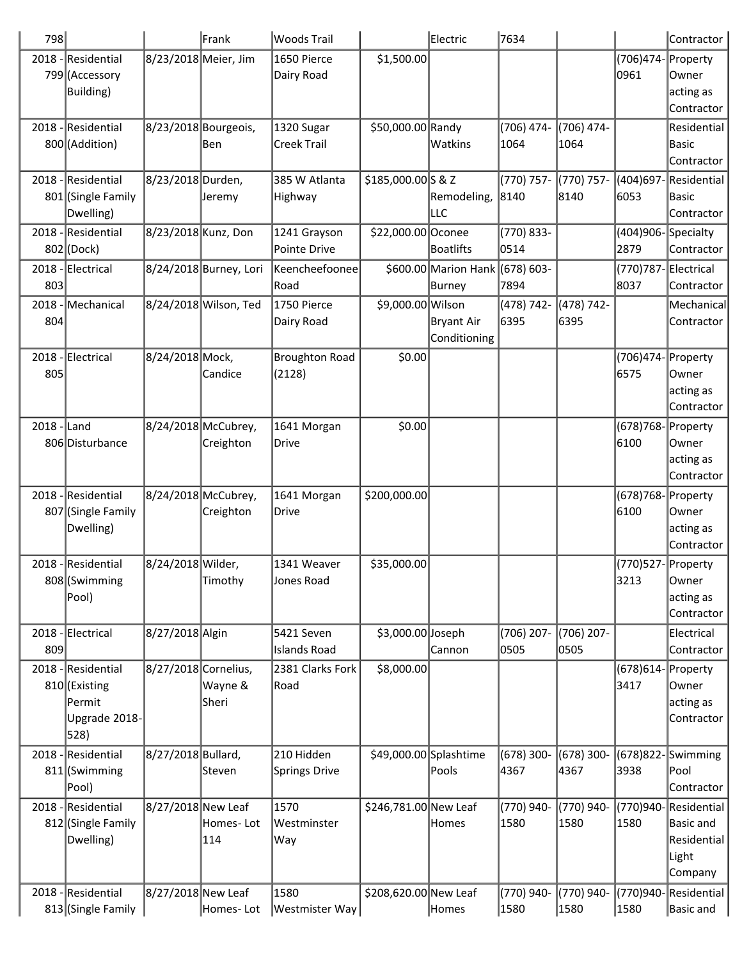| 798         |                                     |                      | Frank                  | <b>Woods Trail</b>                |                        | Electric             | 7634               |                    |                            | Contractor                 |
|-------------|-------------------------------------|----------------------|------------------------|-----------------------------------|------------------------|----------------------|--------------------|--------------------|----------------------------|----------------------------|
|             | 2018 - Residential                  | 8/23/2018 Meier, Jim |                        | 1650 Pierce                       | \$1,500.00             |                      |                    |                    | (706)474- Property         |                            |
|             | 799 (Accessory                      |                      |                        | Dairy Road                        |                        |                      |                    |                    | 0961                       | Owner                      |
|             | Building)                           |                      |                        |                                   |                        |                      |                    |                    |                            | acting as                  |
|             |                                     |                      |                        |                                   |                        |                      |                    |                    |                            | Contractor                 |
| 2018        | - Residential                       | 8/23/2018 Bourgeois, | lBen                   | 1320 Sugar<br><b>Creek Trail</b>  | \$50,000.00 Randy      | Watkins              | (706) 474-<br>1064 | (706) 474-<br>1064 |                            | Residential                |
|             | 800 (Addition)                      |                      |                        |                                   |                        |                      |                    |                    |                            | <b>Basic</b><br>Contractor |
| 2018        | Residential                         | 8/23/2018 Durden,    |                        | 385 W Atlanta                     | \$185,000.00 S & Z     |                      | (770) 757-         | (770) 757-         | (404)697-                  | Residential                |
|             | 801 (Single Family                  |                      | Jeremy                 | Highway                           |                        | Remodeling,          | 8140               | 8140               | 6053                       | <b>Basic</b>               |
|             | Dwelling)                           |                      |                        |                                   |                        | LLC                  |                    |                    |                            | Contractor                 |
| 2018        | - Residential                       | 8/23/2018 Kunz, Don  |                        | 1241 Grayson                      | \$22,000.00 Oconee     |                      | (770) 833-         |                    | (404)906-Specialty         |                            |
|             | 802 (Dock)                          |                      |                        | Pointe Drive                      |                        | Boatlifts            | 0514               |                    | 2879                       | Contractor                 |
| 2018        | Electrical                          |                      | 8/24/2018 Burney, Lori | Keencheefoonee                    |                        | \$600.00 Marion Hank | (678) 603-         |                    | (770)787-Electrical        |                            |
| 803         |                                     |                      |                        | Road                              |                        | Burney               | 7894               |                    | 8037                       | Contractor                 |
| 2018        | Mechanical                          |                      | 8/24/2018 Wilson, Ted  | 1750 Pierce                       | \$9,000.00 Wilson      |                      | (478) 742-         | (478) 742-         |                            | Mechanical                 |
| 804         |                                     |                      |                        | Dairy Road                        |                        | Bryant Air           | 6395               | 6395               |                            | Contractor                 |
|             |                                     |                      |                        |                                   |                        | Conditioning         |                    |                    |                            |                            |
|             | 2018 - Electrical                   | 8/24/2018 Mock,      |                        | <b>Broughton Road</b>             | \$0.00                 |                      |                    |                    | (706)474- Property         |                            |
| 805         |                                     |                      | Candice                | (2128)                            |                        |                      |                    |                    | 6575                       | Owner                      |
|             |                                     |                      |                        |                                   |                        |                      |                    |                    |                            | acting as                  |
|             |                                     |                      |                        |                                   |                        |                      |                    |                    |                            | Contractor                 |
| 2018 - Land | 806 Disturbance                     | 8/24/2018 McCubrey,  | Creighton              | 1641 Morgan<br>Drive              | \$0.00                 |                      |                    |                    | (678)768- Property<br>6100 | Owner                      |
|             |                                     |                      |                        |                                   |                        |                      |                    |                    |                            | acting as                  |
|             |                                     |                      |                        |                                   |                        |                      |                    |                    |                            | Contractor                 |
|             | 2018 - Residential                  | 8/24/2018 McCubrey,  |                        | 1641 Morgan                       | \$200,000.00           |                      |                    |                    | (678)768-Property          |                            |
|             | 807 (Single Family                  |                      | Creighton              | Drive                             |                        |                      |                    |                    | 6100                       | Owner                      |
|             | Dwelling)                           |                      |                        |                                   |                        |                      |                    |                    |                            | acting as                  |
|             |                                     |                      |                        |                                   |                        |                      |                    |                    |                            | Contractor                 |
|             | 2018 - Residential                  | 8/24/2018 Wilder,    |                        | 1341 Weaver                       | \$35,000.00            |                      |                    |                    | (770)527- Property         |                            |
|             | 808 (Swimming                       |                      | Timothy                | Jones Road                        |                        |                      |                    |                    | 3213                       | Owner                      |
|             | Pool)                               |                      |                        |                                   |                        |                      |                    |                    |                            | acting as                  |
|             |                                     |                      |                        |                                   |                        |                      |                    |                    |                            | Contractor                 |
|             | 2018 - Electrical                   | 8/27/2018 Algin      |                        | 5421 Seven<br><b>Islands Road</b> | \$3,000.00 Joseph      |                      | (706) 207-<br>0505 | (706) 207-<br>0505 |                            | Electrical                 |
| 809         |                                     |                      |                        |                                   |                        | Cannon               |                    |                    |                            | Contractor                 |
|             | 2018 - Residential<br>810 (Existing | 8/27/2018 Cornelius, | Wayne &                | 2381 Clarks Fork<br>Road          | \$8,000.00             |                      |                    |                    | (678)614- Property<br>3417 | Owner                      |
|             | Permit                              |                      | Sheri                  |                                   |                        |                      |                    |                    |                            | acting as                  |
|             | Upgrade 2018-                       |                      |                        |                                   |                        |                      |                    |                    |                            | Contractor                 |
|             | 528)                                |                      |                        |                                   |                        |                      |                    |                    |                            |                            |
| 2018        | Residential                         | 8/27/2018 Bullard,   |                        | 210 Hidden                        | \$49,000.00 Splashtime |                      | (678) 300-         | (678) 300-         | $(678)822 -$               | Swimming                   |
|             | 811 (Swimming                       |                      | Steven                 | <b>Springs Drive</b>              |                        | Pools                | 4367               | 4367               | 3938                       | Pool                       |
|             | Pool)                               |                      |                        |                                   |                        |                      |                    |                    |                            | Contractor                 |
| 2018        | Residential                         | 8/27/2018 New Leaf   |                        | 1570                              | \$246,781.00 New Leaf  |                      | (770) 940-         | (770) 940-         | (770)940-                  | Residential                |
|             | 812 (Single Family                  |                      | Homes-Lot              | Westminster                       |                        | Homes                | 1580               | 1580               | 1580                       | <b>Basic and</b>           |
|             | Dwelling)                           |                      | 114                    | Way                               |                        |                      |                    |                    |                            | Residential                |
|             |                                     |                      |                        |                                   |                        |                      |                    |                    |                            | Light                      |
| 2018        | -Residential                        |                      |                        | 1580                              |                        |                      |                    |                    |                            | Company                    |
|             | 813 (Single Family                  | 8/27/2018 New Leaf   | Homes-Lot              | Westmister Way                    | \$208,620.00 New Leaf  | Homes                | (770) 940-<br>1580 | (770) 940-<br>1580 | (770)940-<br>1580          | Residential<br>Basic and   |
|             |                                     |                      |                        |                                   |                        |                      |                    |                    |                            |                            |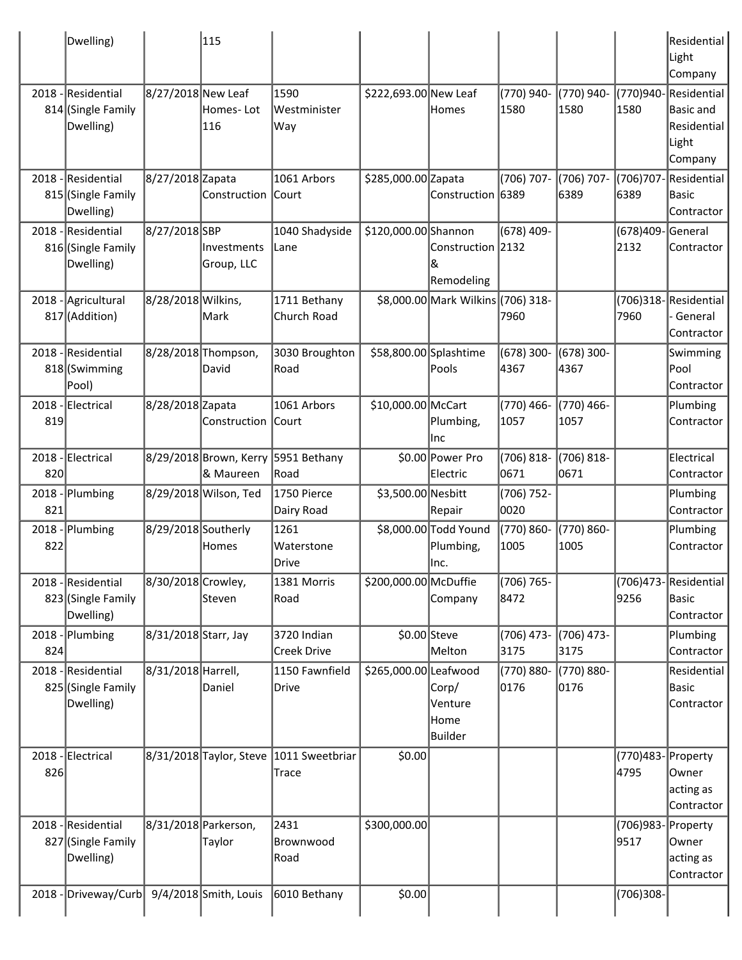|                 | Dwelling)                                             |                      | 115                                 |                                   |                       |                                            |                      |                    |                            | Residential<br>Light<br>Company                                             |
|-----------------|-------------------------------------------------------|----------------------|-------------------------------------|-----------------------------------|-----------------------|--------------------------------------------|----------------------|--------------------|----------------------------|-----------------------------------------------------------------------------|
|                 | 2018 - Residential<br>814 (Single Family<br>Dwelling) | 8/27/2018 New Leaf   | Homes-Lot<br>116                    | 1590<br>Westminister<br>Way       | \$222,693.00 New Leaf | Homes                                      | (770) 940-<br>1580   | (770) 940-<br>1580 | 1580                       | (770)940-Residential<br><b>Basic and</b><br>Residential<br>Light<br>Company |
| 2018            | Residential<br>815 (Single Family<br>Dwelling)        | 8/27/2018 Zapata     | Construction                        | 1061 Arbors<br> Court             | \$285,000.00 Zapata   | Construction 6389                          | (706) 707-           | (706) 707-<br>6389 | (706)707-<br>6389          | Residential<br><b>Basic</b><br>Contractor                                   |
|                 | 2018 - Residential<br>816 (Single Family<br>Dwelling) | 8/27/2018 SBP        | <b>Investments</b><br>Group, LLC    | 1040 Shadyside<br> Lane           | \$120,000.00 Shannon  | Construction 2132<br>ା&<br>Remodeling      | (678) 409-           |                    | (678)409-<br>2132          | General<br>Contractor                                                       |
|                 | 2018 - Agricultural<br>817 (Addition)                 | 8/28/2018 Wilkins,   | lMark                               | 1711 Bethany<br>Church Road       |                       | \$8,000.00 Mark Wilkins (706) 318-         | 7960                 |                    | 7960                       | (706)318-Residential<br>General<br>Contractor                               |
|                 | 2018 - Residential<br>818 (Swimming<br>Pool)          |                      | 8/28/2018 Thompson,<br>David        | 3030 Broughton<br>Road            |                       | \$58,800.00 Splashtime<br> Pools           | $(678)$ 300-<br>4367 | (678) 300-<br>4367 |                            | Swimming<br>Pool<br>Contractor                                              |
| 819             | 2018 - Electrical                                     | 8/28/2018 Zapata     | Construction                        | 1061 Arbors<br>Court              | \$10,000.00 McCart    | Plumbing,<br>Inc                           | (770) 466-<br>1057   | (770) 466-<br>1057 |                            | Plumbing<br>Contractor                                                      |
| 820             | 2018 - Electrical                                     |                      | 8/29/2018 Brown, Kerry<br>& Maureen | 5951 Bethany<br>Road              |                       | \$0.00 Power Pro<br> Electric              | (706) 818-<br>0671   | (706) 818-<br>0671 |                            | Electrical<br>Contractor                                                    |
| $2018 -$<br>821 | Plumbing                                              |                      | 8/29/2018 Wilson, Ted               | 1750 Pierce<br>Dairy Road         | \$3,500.00 Nesbitt    | Repair                                     | (706) 752-<br>0020   |                    |                            | Plumbing<br>Contractor                                                      |
| 822             | 2018 - Plumbing                                       | 8/29/2018 Southerly  | Homes                               | 1261<br>Waterstone<br>Drive       |                       | \$8,000.00 Todd Yound<br>Plumbing,<br>Inc. | (770) 860-<br>1005   | (770) 860-<br>1005 |                            | Plumbing<br>Contractor                                                      |
|                 | 2018 - Residential<br>823 (Single Family<br>Dwelling) | 8/30/2018 Crowley,   | Steven                              | 1381 Morris<br>Road               | \$200,000.00 McDuffie | Company                                    | (706) 765-<br>8472   |                    | 9256                       | $(706)473$ -Residential<br><b>Basic</b><br>Contractor                       |
| 2018<br>824     | Plumbing                                              | 8/31/2018 Starr, Jay |                                     | 3720 Indian<br><b>Creek Drive</b> |                       | $$0.00$ Steve<br>Melton                    | (706) 473-<br>3175   | (706) 473-<br>3175 |                            | Plumbing<br>Contractor                                                      |
|                 | 2018 - Residential<br>825 (Single Family<br>Dwelling) | 8/31/2018 Harrell,   | Daniel                              | 1150 Fawnfield<br>Drive           | \$265,000.00 Leafwood | Corp/<br>Venture<br>Home<br><b>Builder</b> | (770) 880-<br>0176   | (770) 880-<br>0176 |                            | Residential<br><b>Basic</b><br>Contractor                                   |
| 2018<br>826     | -Electrical                                           |                      | 8/31/2018 Taylor, Steve             | 1011 Sweetbriar<br>Trace          | \$0.00                |                                            |                      |                    | (770)483- Property<br>4795 | Owner<br>acting as<br>Contractor                                            |
|                 | 2018 - Residential<br>827 (Single Family<br>Dwelling) |                      | 8/31/2018 Parkerson,<br>Taylor      | 2431<br>Brownwood<br>Road         | \$300,000.00          |                                            |                      |                    | (706)983-<br>9517          | Property<br>Owner<br>acting as<br>Contractor                                |
| 2018            | Driveway/Curb                                         |                      | $9/4/2018$ Smith, Louis             | 6010 Bethany                      | \$0.00                |                                            |                      |                    | (706)308-                  |                                                                             |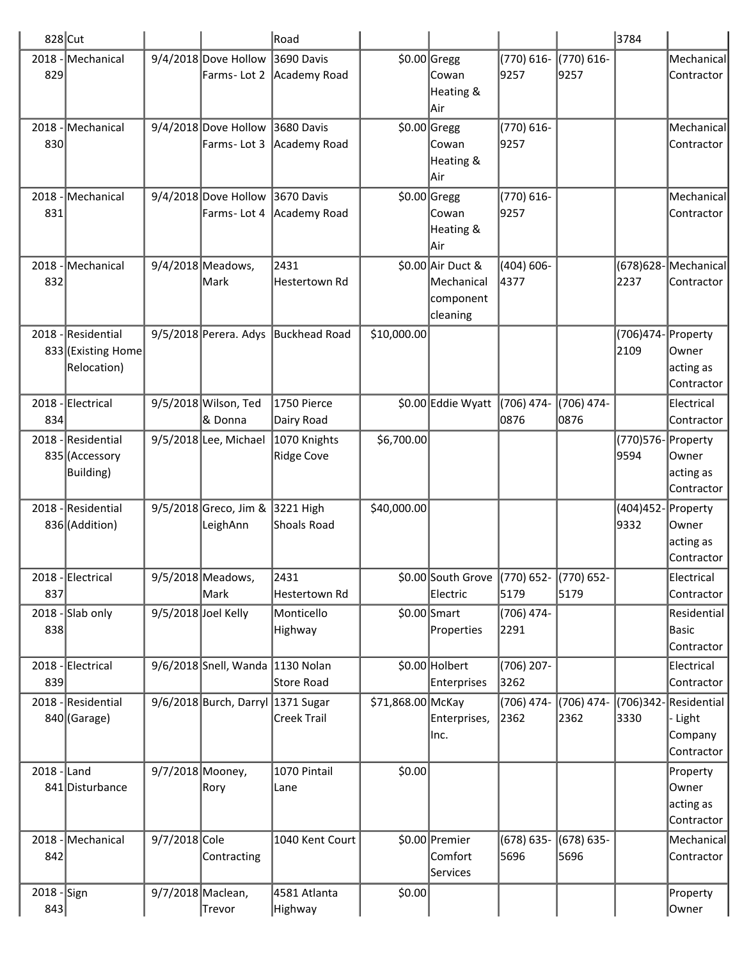| 828 Cut            |                                                         |                     |                                     | Road                                         |                   |                                                          |                       |                    | 3784                       |                                                 |
|--------------------|---------------------------------------------------------|---------------------|-------------------------------------|----------------------------------------------|-------------------|----------------------------------------------------------|-----------------------|--------------------|----------------------------|-------------------------------------------------|
| 829                | 2018 - Mechanical                                       |                     | 9/4/2018 Dove Hollow<br>Farms-Lot 2 | 3690 Davis<br>Academy Road                   |                   | $$0.00$ Gregg<br>Cowan<br>Heating &<br>Air               | (770) 616-<br>9257    | (770) 616-<br>9257 |                            | Mechanical<br>Contractor                        |
| 2018<br>830        | Mechanical                                              |                     | 9/4/2018 Dove Hollow<br>Farms-Lot 3 | 3680 Davis<br>Academy Road                   |                   | \$0.00 Gregg<br>Cowan<br>Heating &<br> Air               | (770) 616-<br>9257    |                    |                            | Mechanical<br>Contractor                        |
| 2018<br>831        | Mechanical                                              |                     | 9/4/2018 Dove Hollow<br>Farms-Lot 4 | 3670 Davis<br>Academy Road                   |                   | \$0.00 Gregg<br>Cowan<br>Heating &<br>Air                | (770) 616-<br>9257    |                    |                            | Mechanical<br>Contractor                        |
| 2018<br>832        | Mechanical                                              |                     | 9/4/2018 Meadows,<br> Mark          | 2431<br>Hestertown Rd                        |                   | \$0.00 Air Duct &<br>Mechanical<br>component<br>cleaning | $(404) 606 -$<br>4377 |                    | 2237                       | (678)628-Mechanical<br>Contractor               |
|                    | 2018 - Residential<br>833 (Existing Home<br>Relocation) |                     | 9/5/2018 Perera. Adys               | Buckhead Road                                | \$10,000.00       |                                                          |                       |                    | (706)474- Property<br>2109 | Owner<br>acting as<br>Contractor                |
| 2018<br>834        | Electrical                                              |                     | 9/5/2018 Wilson, Ted<br>8 Donna     | 1750 Pierce<br>Dairy Road                    |                   | \$0.00 Eddie Wyatt                                       | (706) 474-<br>0876    | (706) 474-<br>0876 |                            | Electrical<br>Contractor                        |
| 2018               | Residential<br>835 (Accessory<br><b>Building</b> )      |                     | 9/5/2018 Lee, Michael               | 1070 Knights<br><b>Ridge Cove</b>            | \$6,700.00        |                                                          |                       |                    | (770)576- Property<br>9594 | Owner<br>acting as<br>Contractor                |
|                    | 2018 - Residential<br>836 (Addition)                    |                     | 9/5/2018 Greco, Jim &<br>LeighAnn   | 3221 High<br>Shoals Road                     | \$40,000.00       |                                                          |                       |                    | (404)452- Property<br>9332 | Owner<br>acting as<br>Contractor                |
|                    | 2018 - Electrical                                       |                     | 9/5/2018 Meadows,                   | 2431                                         |                   | \$0.00 South Grove (770) 652- (770) 652-                 |                       |                    |                            | Electrical                                      |
| 837<br>2018        | Slab only                                               | 9/5/2018 Joel Kelly | Mark                                | Hestertown Rd<br>Monticello                  |                   | Electric<br>$$0.00$ Smart                                | 5179<br>(706) 474-    | 5179               |                            | Contractor<br>Residential                       |
| 838                |                                                         |                     |                                     | Highway                                      |                   | Properties                                               | 2291                  |                    |                            | <b>Basic</b><br>Contractor                      |
| 839                | 2018 - Electrical                                       |                     | $9/6/2018$ Snell, Wanda             | 1130 Nolan<br>Store Road                     |                   | \$0.00 Holbert<br>Enterprises                            | (706) 207-<br>3262    |                    |                            | Electrical<br>Contractor                        |
|                    | 2018 - Residential<br>840 (Garage)                      |                     | 9/6/2018 Burch, Darryl              | $ 1371 \text{ Sugar} $<br><b>Creek Trail</b> | \$71,868.00 McKay | Enterprises,<br>Inc.                                     | (706) 474-<br>2362    | (706) 474-<br>2362 | (706)342- <br>3330         | Residential<br>- Light<br>Company<br>Contractor |
| $2018$ -Land       | 841 Disturbance                                         | 9/7/2018 Mooney,    | Rory                                | 1070 Pintail<br>Lane                         | \$0.00            |                                                          |                       |                    |                            | Property<br>Owner<br>acting as<br>Contractor    |
| $2018 -$<br>842    | Mechanical                                              | 9/7/2018 Cole       | Contracting                         | 1040 Kent Court                              |                   | \$0.00 Premier<br>Comfort<br>Services                    | (678) 635-<br>5696    | (678) 635-<br>5696 |                            | Mechanical<br>Contractor                        |
| 2018 - Sign<br>843 |                                                         | 9/7/2018 Maclean,   | Trevor                              | 4581 Atlanta<br>Highway                      | \$0.00            |                                                          |                       |                    |                            | Property<br>Owner                               |